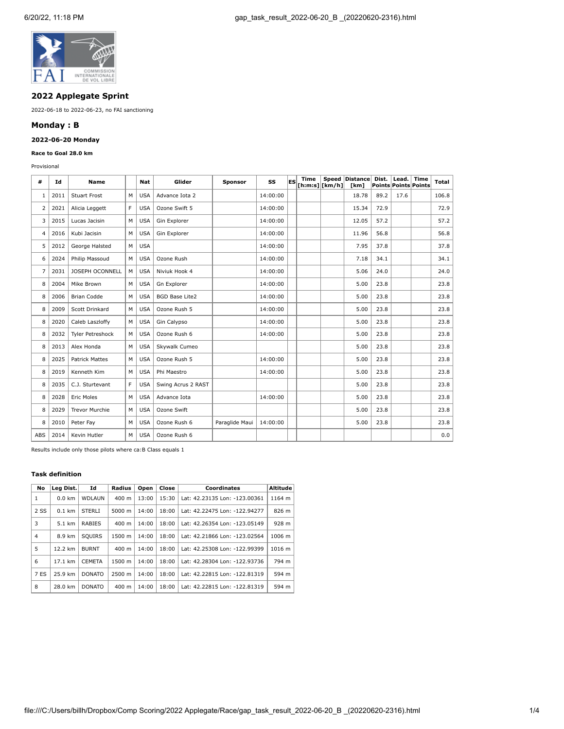

# **2022 Applegate Sprint**

2022-06-18 to 2022-06-23, no FAI sanctioning

# **Monday : B**

# **2022-06-20 Monday**

### **Race to Goal 28.0 km**

Provisional

| #              | Id   | <b>Name</b>           |   | Nat        | Glider                | Sponsor        | SS       | lES | Time | Speed<br>[h:m:s] [km/h] | Distance<br>[km] | Dist. | Lead. | Time<br>Points Points Points | Total |
|----------------|------|-----------------------|---|------------|-----------------------|----------------|----------|-----|------|-------------------------|------------------|-------|-------|------------------------------|-------|
| 1              | 2011 | <b>Stuart Frost</b>   | м | <b>USA</b> | Advance Iota 2        |                | 14:00:00 |     |      |                         | 18.78            | 89.2  | 17.6  |                              | 106.8 |
| $\overline{2}$ | 2021 | Alicia Leggett        | F | <b>USA</b> | Ozone Swift 5         |                | 14:00:00 |     |      |                         | 15.34            | 72.9  |       |                              | 72.9  |
| 3              | 2015 | Lucas Jacisin         | м | <b>USA</b> | Gin Explorer          |                | 14:00:00 |     |      |                         | 12.05            | 57.2  |       |                              | 57.2  |
| $\overline{4}$ | 2016 | Kubi Jacisin          | M | <b>USA</b> | Gin Explorer          |                | 14:00:00 |     |      |                         | 11.96            | 56.8  |       |                              | 56.8  |
| 5              | 2012 | George Halsted        | м | <b>USA</b> |                       |                | 14:00:00 |     |      |                         | 7.95             | 37.8  |       |                              | 37.8  |
| 6              | 2024 | Philip Massoud        | M | <b>USA</b> | Ozone Rush            |                | 14:00:00 |     |      |                         | 7.18             | 34.1  |       |                              | 34.1  |
| $\overline{7}$ | 2031 | JOSEPH OCONNELL       | М | <b>USA</b> | Niviuk Hook 4         |                | 14:00:00 |     |      |                         | 5.06             | 24.0  |       |                              | 24.0  |
| 8              | 2004 | Mike Brown            | M | <b>USA</b> | Gn Explorer           |                | 14:00:00 |     |      |                         | 5.00             | 23.8  |       |                              | 23.8  |
| 8              | 2006 | <b>Brian Codde</b>    | M | <b>USA</b> | <b>BGD Base Lite2</b> |                | 14:00:00 |     |      |                         | 5.00             | 23.8  |       |                              | 23.8  |
| 8              | 2009 | Scott Drinkard        | M | <b>USA</b> | Ozone Rush 5          |                | 14:00:00 |     |      |                         | 5.00             | 23.8  |       |                              | 23.8  |
| 8              | 2020 | Caleb Laszloffy       | м | <b>USA</b> | Gin Calypso           |                | 14:00:00 |     |      |                         | 5.00             | 23.8  |       |                              | 23.8  |
| 8              | 2032 | Tyler Petreshock      | м | <b>USA</b> | Ozone Rush 6          |                | 14:00:00 |     |      |                         | 5.00             | 23.8  |       |                              | 23.8  |
| 8              | 2013 | Alex Honda            | M | <b>USA</b> | Skywalk Cumeo         |                |          |     |      |                         | 5.00             | 23.8  |       |                              | 23.8  |
| 8              | 2025 | <b>Patrick Mattes</b> | M | <b>USA</b> | Ozone Rush 5          |                | 14:00:00 |     |      |                         | 5.00             | 23.8  |       |                              | 23.8  |
| 8              | 2019 | Kenneth Kim           | M | <b>USA</b> | Phi Maestro           |                | 14:00:00 |     |      |                         | 5.00             | 23.8  |       |                              | 23.8  |
| 8              | 2035 | C.J. Sturtevant       | F | <b>USA</b> | Swing Acrus 2 RAST    |                |          |     |      |                         | 5.00             | 23.8  |       |                              | 23.8  |
| 8              | 2028 | <b>Eric Moles</b>     | M | <b>USA</b> | Advance Iota          |                | 14:00:00 |     |      |                         | 5.00             | 23.8  |       |                              | 23.8  |
| 8              | 2029 | <b>Trevor Murchie</b> | M | <b>USA</b> | Ozone Swift           |                |          |     |      |                         | 5.00             | 23.8  |       |                              | 23.8  |
| 8              | 2010 | Peter Fay             | M | <b>USA</b> | Ozone Rush 6          | Paraglide Maui | 14:00:00 |     |      |                         | 5.00             | 23.8  |       |                              | 23.8  |
| ABS            | 2014 | Kevin Hutler          | М | <b>USA</b> | Ozone Rush 6          |                |          |     |      |                         |                  |       |       |                              | 0.0   |

Results include only those pilots where ca:B Class equals 1

### **Task definition**

| No   | Lea Dist.         | Id<br>Radius  |                 | Close<br>Open |       | Coordinates                   | <b>Altitude</b> |
|------|-------------------|---------------|-----------------|---------------|-------|-------------------------------|-----------------|
| 1    | $0.0$ km          | WDLAUN        | $400 \text{ m}$ | 13:00         | 15:30 | Lat: 42.23135 Lon: -123.00361 | 1164 m          |
| 2 SS | $0.1$ km          | <b>STERLI</b> | $5000 \; m$     | 14:00         | 18:00 | Lat: 42.22475 Lon: -122.94277 | 826 m           |
| 3    | 5.1 km            | <b>RABIES</b> | $400 \text{ m}$ | 14:00         | 18:00 | Lat: 42.26354 Lon: -123.05149 | 928 m           |
| 4    | 8.9 km            | <b>SOUIRS</b> | 1500 m          | 14:00         | 18:00 | Lat: 42.21866 Lon: -123.02564 | 1006 m          |
| 5    | 12.2 km           | <b>BURNT</b>  | $400 \text{ m}$ | 14:00         | 18:00 | Lat: 42.25308 Lon: -122.99399 | 1016 m          |
| 6    | $17.1 \text{ km}$ | <b>CEMETA</b> | 1500 m          | 14:00         | 18:00 | Lat: 42.28304 Lon: -122.93736 | 794 m           |
| 7 ES | 25.9 km           | <b>DONATO</b> | 2500 m          | 14:00         | 18:00 | Lat: 42.22815 Lon: -122.81319 | 594 m           |
| 8    | 28.0 km           | <b>DONATO</b> | $400 \text{ m}$ | 14:00         | 18:00 | Lat: 42.22815 Lon: -122.81319 | 594 m           |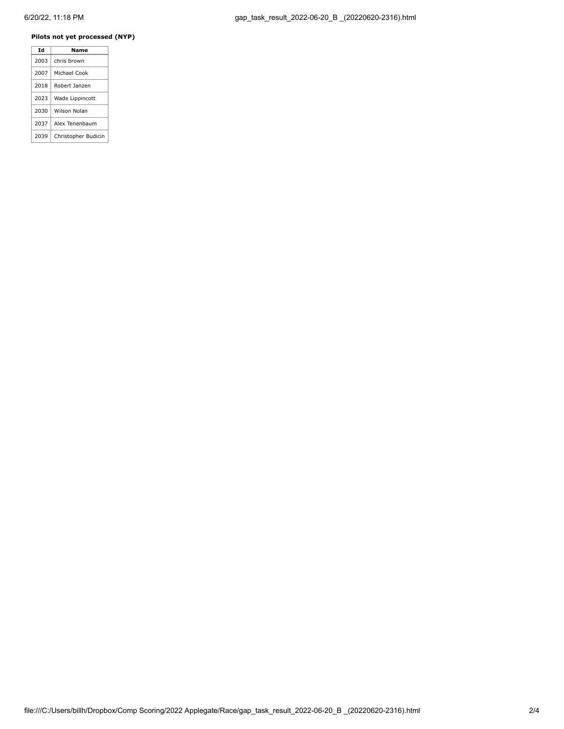# **Pilots not yet processed (NYP)**

| Ιd   | Name                |
|------|---------------------|
| 2003 | chris brown         |
| 2007 | Michael Cook        |
| 2018 | Robert Janzen       |
| 2023 | Wade Lippincott     |
| 2030 | Wilson Nolan        |
| 2037 | Alex Tenenbaum      |
| 2039 | Christopher Budicin |
|      |                     |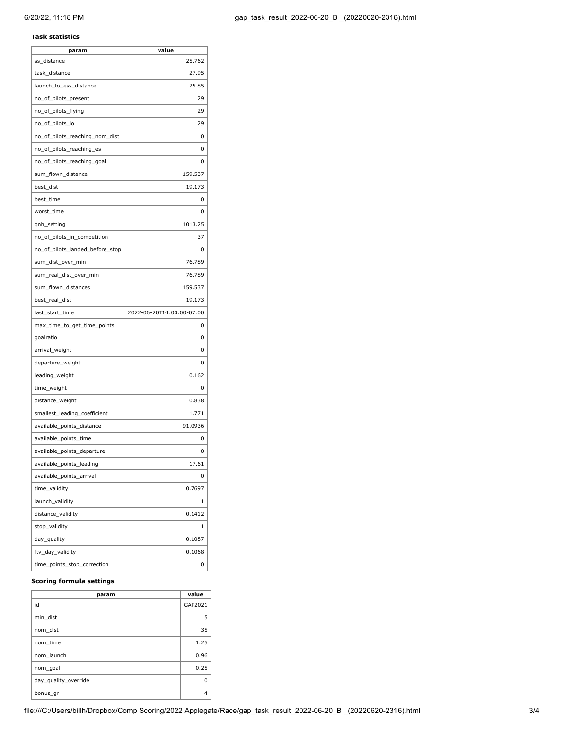# **Task statistics**

| param                           | value                     |
|---------------------------------|---------------------------|
| ss_distance                     | 25.762                    |
| task_distance                   | 27.95                     |
| launch_to_ess_distance          | 25.85                     |
| no_of_pilots_present            | 29                        |
| no_of_pilots_flying             | 29                        |
| no_of_pilots_lo                 | 29                        |
| no_of_pilots_reaching_nom_dist  | 0                         |
| no_of_pilots_reaching_es        | 0                         |
| no of pilots reaching goal      | 0                         |
| sum_flown_distance              | 159.537                   |
| best_dist                       | 19.173                    |
| best_time                       | 0                         |
| worst_time                      | 0                         |
| qnh_setting                     | 1013.25                   |
| no_of_pilots_in_competition     | 37                        |
| no_of_pilots_landed_before_stop | 0                         |
| sum_dist_over_min               | 76.789                    |
| sum_real_dist_over_min          | 76.789                    |
| sum_flown_distances             | 159.537                   |
| best real dist                  | 19.173                    |
| last_start_time                 | 2022-06-20T14:00:00-07:00 |
| max_time_to_get_time_points     | 0                         |
| goalratio                       | 0                         |
| arrival_weight                  | 0                         |
| departure_weight                | 0                         |
| leading_weight                  | 0.162                     |
| time_weight                     | 0                         |
| distance_weight                 | 0.838                     |
| smallest_leading_coefficient    | 1.771                     |
| available_points_distance       | 91.0936                   |
| available_points_time           | 0                         |
| available_points_departure      | 0                         |
| available_points_leading        | 17.61                     |
| available_points_arrival        | 0                         |
| time_validity                   | 0.7697                    |
| launch_validity                 | 1                         |
| distance_validity               | 0.1412                    |
| stop_validity                   | 1                         |
|                                 |                           |
| day_quality                     | 0.1087                    |
| ftv_day_validity                | 0.1068                    |

# **Scoring formula settings**

| param                | value   |
|----------------------|---------|
| id                   | GAP2021 |
| min dist             | 5       |
| nom dist             | 35      |
| nom time             | 1.25    |
| nom launch           | 0.96    |
| nom goal             | 0.25    |
| day quality override | ŋ       |
| bonus_gr             | 4       |